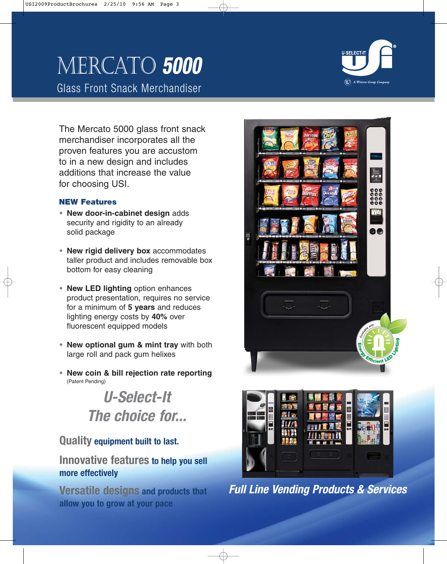## Mercato **5000**

Glass Front Snack Merchandiser



The Mercato 5000 glass front snack merchandiser incorporates all the proven features you are accustom to in a new design and includes additions that increase the value for choosing USI.

## **NEW Features**

- **• New door-in-cabinet design** adds security and rigidity to an already solid package
- **• New rigid delivery box** accommodates taller product and includes removable box bottom for easy cleaning
- **• New LED lighting** option enhances product presentation, requires no service for a minimum of **5 years** and reduces lighting energy costs by **40%** over fluorescent equipped models
- **• New optional gum & mint tray** with both large roll and pack gum helixes
- **• New coin & bill rejection rate reporting** (Patent Pending)

**U-Select-It The choice for...**

## **Quality equipment built to last.**

## **Innovative features to help you sell more effectively**

**Versatile designs and products that allow you to grow at your pace**





**Full Line Vending Products & Services**